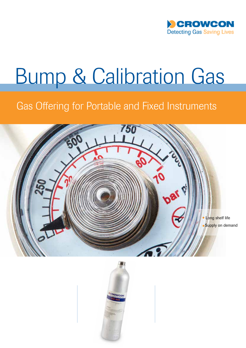

# Bump & Calibration Gas

## Gas Offering for Portable and Fixed Instruments



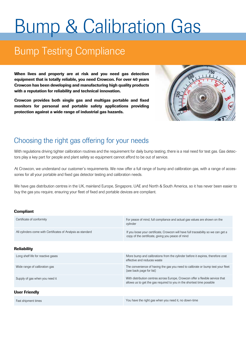# Bump & Calibration Gas

# Bump Testing Compliance

When lives and property are at risk and you need gas detection equipment that is totally reliable, you need Crowcon. For over 40 years Crowcon has been developing and manufacturing high quality products with a reputation for reliability and technical innovation.

Crowcon provides both single gas and multigas portable and fixed monitors for personal and portable safety applications providing protection against a wide range of industrial gas hazards.



## Choosing the right gas offering for your needs

With regulations driving tighter calibration routines and the requirement for daily bump testing, there is a real need for test gas. Gas detectors play a key part for people and plant safety so equipment cannot afford to be out of service.

At Crowcon, we understand our customer's requirements. We now offer a full range of bump and calibration gas, with a range of accessories for all your portable and fixed gas detector testing and calibration needs.

We have gas distribution centres in the UK, mainland Europe, Singapore, UAE and North & South America, so it has never been easier to buy the gas you require, ensuring your fleet of fixed and portable devices are compliant.

#### Compliant

| Certificate of conformity                                    | For peace of mind, full compliance and actual gas values are shown on the<br>cylinder                                                                    |
|--------------------------------------------------------------|----------------------------------------------------------------------------------------------------------------------------------------------------------|
| All cylinders come with Certificates of Analysis as standard | If you loose your certificate, Crowcon will have full traceability so we can get a<br>copy of the certificate, giving you peace of mind                  |
|                                                              |                                                                                                                                                          |
| <b>Reliability</b>                                           |                                                                                                                                                          |
| Long shelf life for reactive gases                           | More bump and calibrations from the cylinder before it expires, therefore cost<br>effective and reduces waste                                            |
| Wide range of calibration gas                                | The convenience of having the gas you need to calibrate or bump test your fleet<br>(see back page for list)                                              |
| Supply of gas when you need it                               | With distribution centres across Europe, Crowcon offer a flexible service that<br>allows us to get the gas required to you in the shortest time possible |
| <b>User Friendly</b>                                         |                                                                                                                                                          |
| Fast shipment times                                          | You have the right gas when you need it, no down-time                                                                                                    |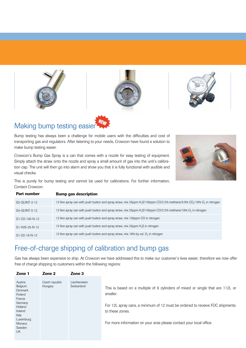





## Making bump testing easier

Bump testing has always been a challenge for mobile users with the difficulties and cost of transporting gas and regulators. After listening to your needs, Crowcon have found a solution to make bump testing easier.

Crowcon's Bump Gas Spray is a can that comes with a nozzle for easy testing of equipment. Simply attach the straw onto the nozzle and spray a small amount of gas into the unit's calibration cap. The unit will then go into alarm and show you that it is fully functional with audible and visual checks.

This is purely for bump testing and cannot be used for calibrations. For further information, Contact Crowcon.

| Part number | <b>Bump gas description</b> |
|-------------|-----------------------------|
|-------------|-----------------------------|

| G5-QUINT-3-12    | 12 litre spray can with push button and spray straw, mix 25ppm H <sub>2</sub> S/100ppm CO/2.2% methane/0.5% CO <sub>2</sub> /18% O <sub>2</sub> in nitrogen |
|------------------|-------------------------------------------------------------------------------------------------------------------------------------------------------------|
|                  |                                                                                                                                                             |
| G4-QUINT-5-12    | 12 litre spray can with push button and spray straw, mix 25ppm H <sub>2</sub> S/100ppm CO/2.2% methane/18% O <sub>2</sub> in nitrogen                       |
| G1-CO-100-N-12   | 12 litre spray can with push button and spray straw, mix 100ppm CO in nitrogen                                                                              |
| $G1-H2S-25-N-12$ | 12 litre spray can with push button and spray straw, mix 25ppm $H_2S$ in nitrogen                                                                           |
| G1-02-18-N-12    | 12 litre spray can with push button and spray straw, mix 18% by vol. $O2$ in nitrogen                                                                       |

## Free-of-charge shipping of calibration and bump gas

Gas has always been expensive to ship. At Crowcon we have addressed this to make our customer's lives easier, therefore we now offer free of charge shipping to customers within the following regions:

| Zone 1                                                                                                                                      | Zone 3<br>Zone 2                                          |                                                                                                                                                                                                                                                                      |
|---------------------------------------------------------------------------------------------------------------------------------------------|-----------------------------------------------------------|----------------------------------------------------------------------------------------------------------------------------------------------------------------------------------------------------------------------------------------------------------------------|
| Austria<br>Belgium<br><b>Denmark</b><br>Finland<br>France<br>Germany<br>Holland<br>Ireland<br>Italy<br>Luxemburg<br>Monaco<br>Sweden<br>UK. | Czech republic<br>Liechtenstein<br>Switzerland<br>Hungary | This is based on a multiple of 6 cylinders of mixed or single that are 112L or<br>smaller.<br>For 12L spray cans, a minimum of 12 must be ordered to receive FOC shipments<br>to these zones.<br>For more information on your area please contact your local office. |